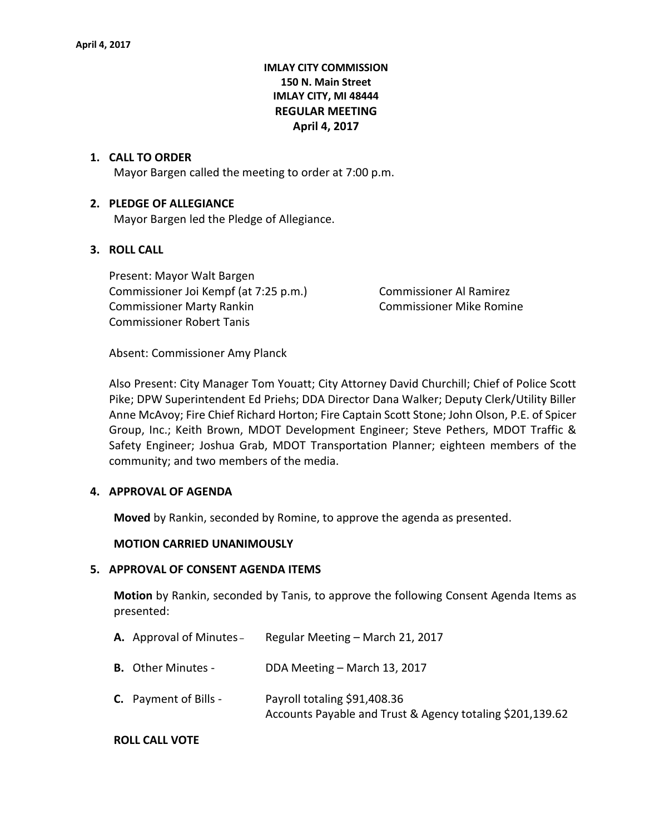# **IMLAY CITY COMMISSION 150 N. Main Street IMLAY CITY, MI 48444 REGULAR MEETING April 4, 2017**

#### **1. CALL TO ORDER**

Mayor Bargen called the meeting to order at 7:00 p.m.

## **2. PLEDGE OF ALLEGIANCE**

Mayor Bargen led the Pledge of Allegiance.

## **3. ROLL CALL**

Present: Mayor Walt Bargen Commissioner Joi Kempf (at 7:25 p.m.) Commissioner Al Ramirez Commissioner Marty Rankin **Commissioner Mike Romine** Commissioner Robert Tanis

Absent: Commissioner Amy Planck

Also Present: City Manager Tom Youatt; City Attorney David Churchill; Chief of Police Scott Pike; DPW Superintendent Ed Priehs; DDA Director Dana Walker; Deputy Clerk/Utility Biller Anne McAvoy; Fire Chief Richard Horton; Fire Captain Scott Stone; John Olson, P.E. of Spicer Group, Inc.; Keith Brown, MDOT Development Engineer; Steve Pethers, MDOT Traffic & Safety Engineer; Joshua Grab, MDOT Transportation Planner; eighteen members of the community; and two members of the media.

#### **4. APPROVAL OF AGENDA**

**Moved** by Rankin, seconded by Romine, to approve the agenda as presented.

#### **MOTION CARRIED UNANIMOUSLY**

#### **5. APPROVAL OF CONSENT AGENDA ITEMS**

**Motion** by Rankin, seconded by Tanis, to approve the following Consent Agenda Items as presented:

- **A.** Approval of Minutes Regular Meeting March 21, 2017
- **B.** Other Minutes DDA Meeting March 13, 2017
- **C.** Payment of Bills Payroll totaling \$91,408.36 Accounts Payable and Trust & Agency totaling \$201,139.62

#### **ROLL CALL VOTE**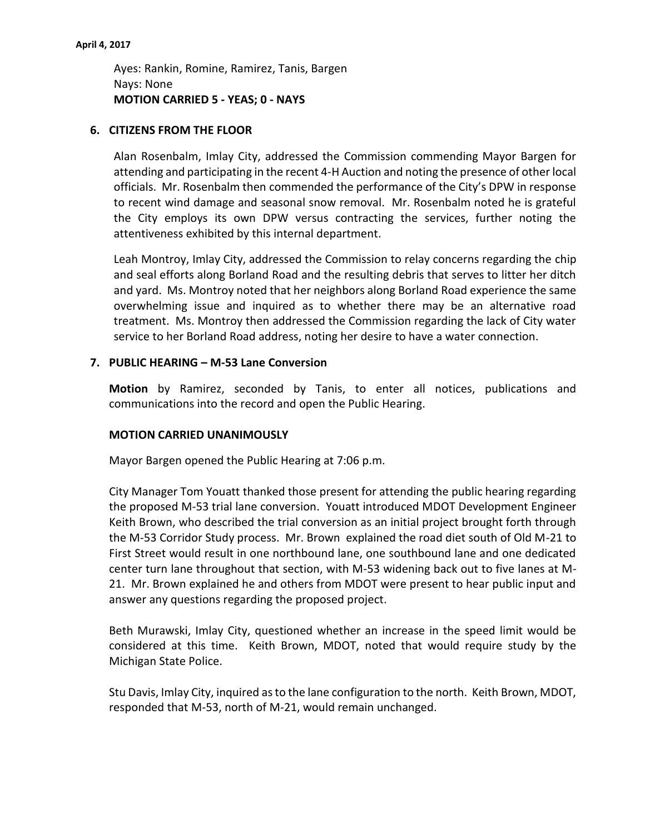Ayes: Rankin, Romine, Ramirez, Tanis, Bargen Nays: None **MOTION CARRIED 5 - YEAS; 0 - NAYS**

## **6. CITIZENS FROM THE FLOOR**

Alan Rosenbalm, Imlay City, addressed the Commission commending Mayor Bargen for attending and participating in the recent 4-H Auction and noting the presence of other local officials. Mr. Rosenbalm then commended the performance of the City's DPW in response to recent wind damage and seasonal snow removal. Mr. Rosenbalm noted he is grateful the City employs its own DPW versus contracting the services, further noting the attentiveness exhibited by this internal department.

Leah Montroy, Imlay City, addressed the Commission to relay concerns regarding the chip and seal efforts along Borland Road and the resulting debris that serves to litter her ditch and yard. Ms. Montroy noted that her neighbors along Borland Road experience the same overwhelming issue and inquired as to whether there may be an alternative road treatment. Ms. Montroy then addressed the Commission regarding the lack of City water service to her Borland Road address, noting her desire to have a water connection.

## **7. PUBLIC HEARING – M-53 Lane Conversion**

**Motion** by Ramirez, seconded by Tanis, to enter all notices, publications and communications into the record and open the Public Hearing.

## **MOTION CARRIED UNANIMOUSLY**

Mayor Bargen opened the Public Hearing at 7:06 p.m.

City Manager Tom Youatt thanked those present for attending the public hearing regarding the proposed M-53 trial lane conversion. Youatt introduced MDOT Development Engineer Keith Brown, who described the trial conversion as an initial project brought forth through the M-53 Corridor Study process. Mr. Brown explained the road diet south of Old M-21 to First Street would result in one northbound lane, one southbound lane and one dedicated center turn lane throughout that section, with M-53 widening back out to five lanes at M-21. Mr. Brown explained he and others from MDOT were present to hear public input and answer any questions regarding the proposed project.

Beth Murawski, Imlay City, questioned whether an increase in the speed limit would be considered at this time. Keith Brown, MDOT, noted that would require study by the Michigan State Police.

Stu Davis, Imlay City, inquired as to the lane configuration to the north. Keith Brown, MDOT, responded that M-53, north of M-21, would remain unchanged.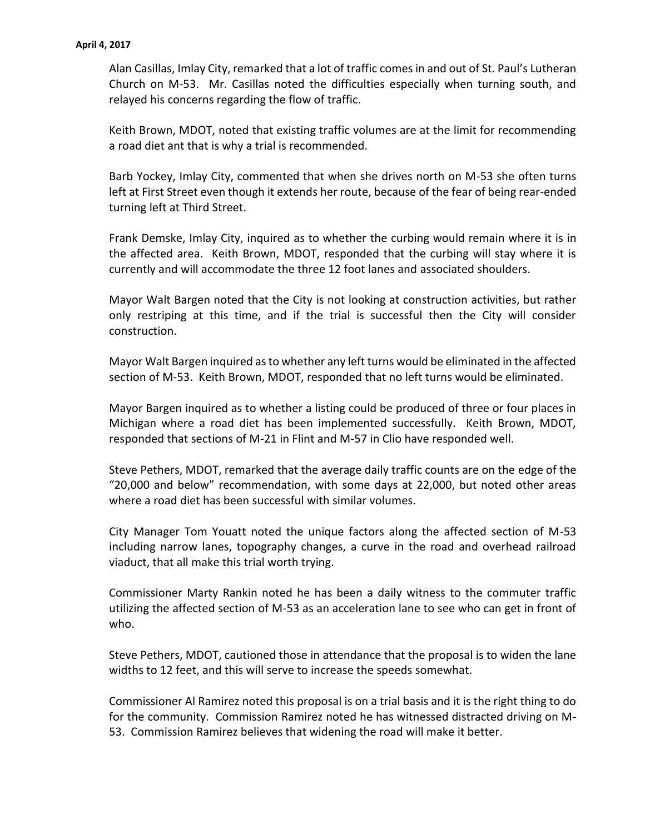Alan Casillas, Imlay City, remarked that a lot of traffic comes in and out of St. Paul's Lutheran Church on M-53. Mr. Casillas noted the difficulties especially when turning south, and relayed his concerns regarding the flow of traffic.

Keith Brown, MDOT, noted that existing traffic volumes are at the limit for recommending a road diet ant that is why a trial is recommended.

Barb Yockey, Imlay City, commented that when she drives north on M-53 she often turns left at First Street even though it extends her route, because of the fear of being rear-ended turning left at Third Street.

Frank Demske, Imlay City, inquired as to whether the curbing would remain where it is in the affected area. Keith Brown, MDOT, responded that the curbing will stay where it is currently and will accommodate the three 12 foot lanes and associated shoulders.

Mayor Walt Bargen noted that the City is not looking at construction activities, but rather only restriping at this time, and if the trial is successful then the City will consider construction.

Mayor Walt Bargen inquired as to whether any left turns would be eliminated in the affected section of M-53. Keith Brown, MDOT, responded that no left turns would be eliminated.

Mayor Bargen inquired as to whether a listing could be produced of three or four places in Michigan where a road diet has been implemented successfully. Keith Brown, MDOT, responded that sections of M-21 in Flint and M-57 in Clio have responded well.

Steve Pethers, MDOT, remarked that the average daily traffic counts are on the edge of the "20,000 and below" recommendation, with some days at 22,000, but noted other areas where a road diet has been successful with similar volumes.

City Manager Tom Youatt noted the unique factors along the affected section of M-53 including narrow lanes, topography changes, a curve in the road and overhead railroad viaduct, that all make this trial worth trying.

Commissioner Marty Rankin noted he has been a daily witness to the commuter traffic utilizing the affected section of M-53 as an acceleration lane to see who can get in front of who.

Steve Pethers, MDOT, cautioned those in attendance that the proposal is to widen the lane widths to 12 feet, and this will serve to increase the speeds somewhat.

Commissioner Al Ramirez noted this proposal is on a trial basis and it is the right thing to do for the community. Commission Ramirez noted he has witnessed distracted driving on M-53. Commission Ramirez believes that widening the road will make it better.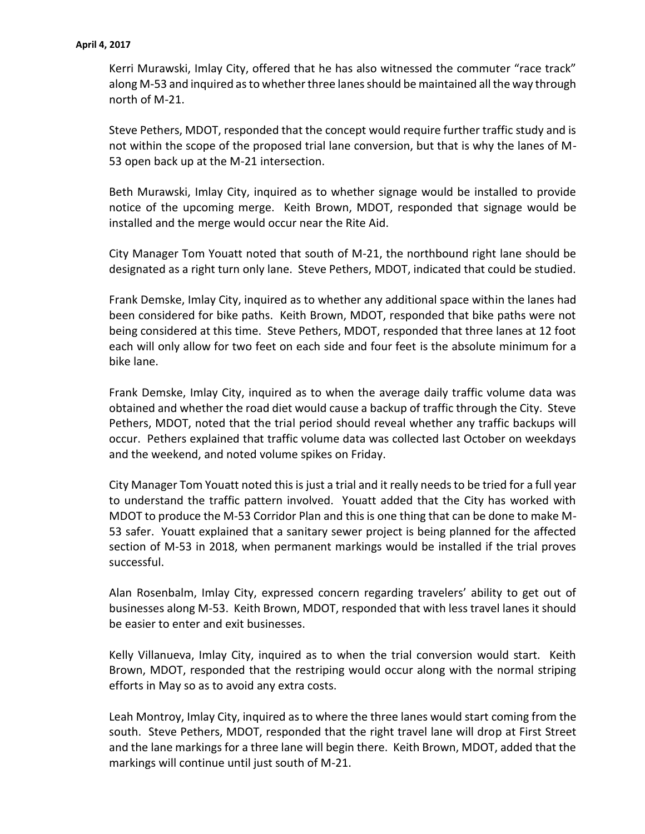#### **April 4, 2017**

Kerri Murawski, Imlay City, offered that he has also witnessed the commuter "race track" along M-53 and inquired as to whether three lanes should be maintained all the way through north of M-21.

Steve Pethers, MDOT, responded that the concept would require further traffic study and is not within the scope of the proposed trial lane conversion, but that is why the lanes of M-53 open back up at the M-21 intersection.

Beth Murawski, Imlay City, inquired as to whether signage would be installed to provide notice of the upcoming merge. Keith Brown, MDOT, responded that signage would be installed and the merge would occur near the Rite Aid.

City Manager Tom Youatt noted that south of M-21, the northbound right lane should be designated as a right turn only lane. Steve Pethers, MDOT, indicated that could be studied.

Frank Demske, Imlay City, inquired as to whether any additional space within the lanes had been considered for bike paths. Keith Brown, MDOT, responded that bike paths were not being considered at this time. Steve Pethers, MDOT, responded that three lanes at 12 foot each will only allow for two feet on each side and four feet is the absolute minimum for a bike lane.

Frank Demske, Imlay City, inquired as to when the average daily traffic volume data was obtained and whether the road diet would cause a backup of traffic through the City. Steve Pethers, MDOT, noted that the trial period should reveal whether any traffic backups will occur. Pethers explained that traffic volume data was collected last October on weekdays and the weekend, and noted volume spikes on Friday.

City Manager Tom Youatt noted this is just a trial and it really needs to be tried for a full year to understand the traffic pattern involved. Youatt added that the City has worked with MDOT to produce the M-53 Corridor Plan and this is one thing that can be done to make M-53 safer. Youatt explained that a sanitary sewer project is being planned for the affected section of M-53 in 2018, when permanent markings would be installed if the trial proves successful.

Alan Rosenbalm, Imlay City, expressed concern regarding travelers' ability to get out of businesses along M-53. Keith Brown, MDOT, responded that with less travel lanes it should be easier to enter and exit businesses.

Kelly Villanueva, Imlay City, inquired as to when the trial conversion would start. Keith Brown, MDOT, responded that the restriping would occur along with the normal striping efforts in May so as to avoid any extra costs.

Leah Montroy, Imlay City, inquired as to where the three lanes would start coming from the south. Steve Pethers, MDOT, responded that the right travel lane will drop at First Street and the lane markings for a three lane will begin there. Keith Brown, MDOT, added that the markings will continue until just south of M-21.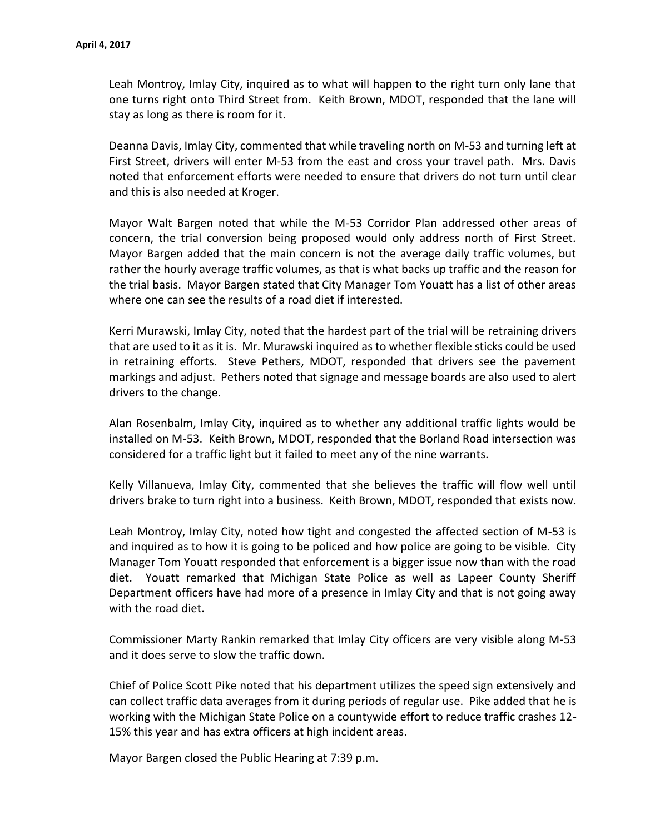Leah Montroy, Imlay City, inquired as to what will happen to the right turn only lane that one turns right onto Third Street from. Keith Brown, MDOT, responded that the lane will stay as long as there is room for it.

Deanna Davis, Imlay City, commented that while traveling north on M-53 and turning left at First Street, drivers will enter M-53 from the east and cross your travel path. Mrs. Davis noted that enforcement efforts were needed to ensure that drivers do not turn until clear and this is also needed at Kroger.

Mayor Walt Bargen noted that while the M-53 Corridor Plan addressed other areas of concern, the trial conversion being proposed would only address north of First Street. Mayor Bargen added that the main concern is not the average daily traffic volumes, but rather the hourly average traffic volumes, as that is what backs up traffic and the reason for the trial basis. Mayor Bargen stated that City Manager Tom Youatt has a list of other areas where one can see the results of a road diet if interested.

Kerri Murawski, Imlay City, noted that the hardest part of the trial will be retraining drivers that are used to it as it is. Mr. Murawski inquired as to whether flexible sticks could be used in retraining efforts. Steve Pethers, MDOT, responded that drivers see the pavement markings and adjust. Pethers noted that signage and message boards are also used to alert drivers to the change.

Alan Rosenbalm, Imlay City, inquired as to whether any additional traffic lights would be installed on M-53. Keith Brown, MDOT, responded that the Borland Road intersection was considered for a traffic light but it failed to meet any of the nine warrants.

Kelly Villanueva, Imlay City, commented that she believes the traffic will flow well until drivers brake to turn right into a business. Keith Brown, MDOT, responded that exists now.

Leah Montroy, Imlay City, noted how tight and congested the affected section of M-53 is and inquired as to how it is going to be policed and how police are going to be visible. City Manager Tom Youatt responded that enforcement is a bigger issue now than with the road diet. Youatt remarked that Michigan State Police as well as Lapeer County Sheriff Department officers have had more of a presence in Imlay City and that is not going away with the road diet.

Commissioner Marty Rankin remarked that Imlay City officers are very visible along M-53 and it does serve to slow the traffic down.

Chief of Police Scott Pike noted that his department utilizes the speed sign extensively and can collect traffic data averages from it during periods of regular use. Pike added that he is working with the Michigan State Police on a countywide effort to reduce traffic crashes 12- 15% this year and has extra officers at high incident areas.

Mayor Bargen closed the Public Hearing at 7:39 p.m.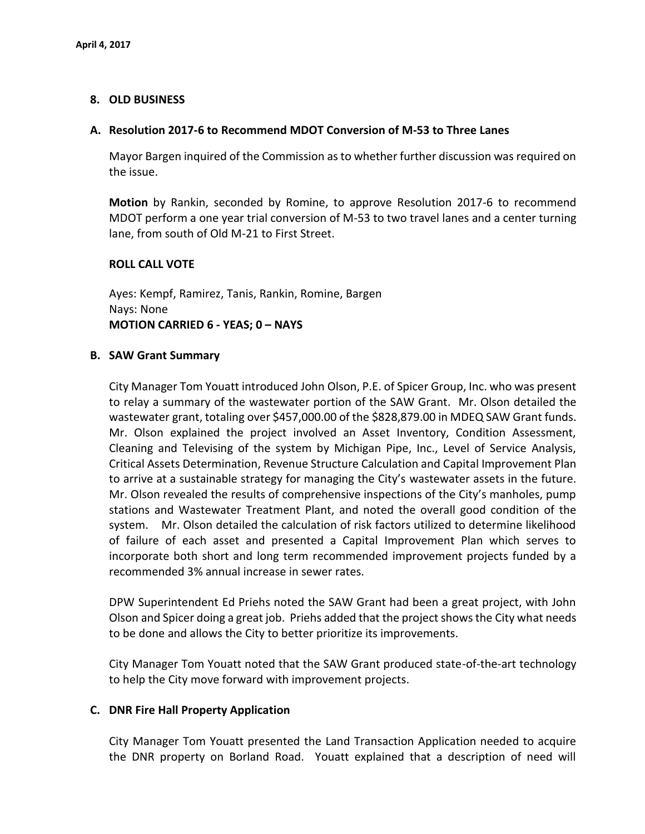## **8. OLD BUSINESS**

## **A. Resolution 2017-6 to Recommend MDOT Conversion of M-53 to Three Lanes**

Mayor Bargen inquired of the Commission as to whether further discussion was required on the issue.

**Motion** by Rankin, seconded by Romine, to approve Resolution 2017-6 to recommend MDOT perform a one year trial conversion of M-53 to two travel lanes and a center turning lane, from south of Old M-21 to First Street.

## **ROLL CALL VOTE**

Ayes: Kempf, Ramirez, Tanis, Rankin, Romine, Bargen Nays: None **MOTION CARRIED 6 - YEAS; 0 – NAYS**

## **B. SAW Grant Summary**

City Manager Tom Youatt introduced John Olson, P.E. of Spicer Group, Inc. who was present to relay a summary of the wastewater portion of the SAW Grant. Mr. Olson detailed the wastewater grant, totaling over \$457,000.00 of the \$828,879.00 in MDEQ SAW Grant funds. Mr. Olson explained the project involved an Asset Inventory, Condition Assessment, Cleaning and Televising of the system by Michigan Pipe, Inc., Level of Service Analysis, Critical Assets Determination, Revenue Structure Calculation and Capital Improvement Plan to arrive at a sustainable strategy for managing the City's wastewater assets in the future. Mr. Olson revealed the results of comprehensive inspections of the City's manholes, pump stations and Wastewater Treatment Plant, and noted the overall good condition of the system. Mr. Olson detailed the calculation of risk factors utilized to determine likelihood of failure of each asset and presented a Capital Improvement Plan which serves to incorporate both short and long term recommended improvement projects funded by a recommended 3% annual increase in sewer rates.

DPW Superintendent Ed Priehs noted the SAW Grant had been a great project, with John Olson and Spicer doing a great job. Priehs added that the project shows the City what needs to be done and allows the City to better prioritize its improvements.

City Manager Tom Youatt noted that the SAW Grant produced state-of-the-art technology to help the City move forward with improvement projects.

## **C. DNR Fire Hall Property Application**

City Manager Tom Youatt presented the Land Transaction Application needed to acquire the DNR property on Borland Road. Youatt explained that a description of need will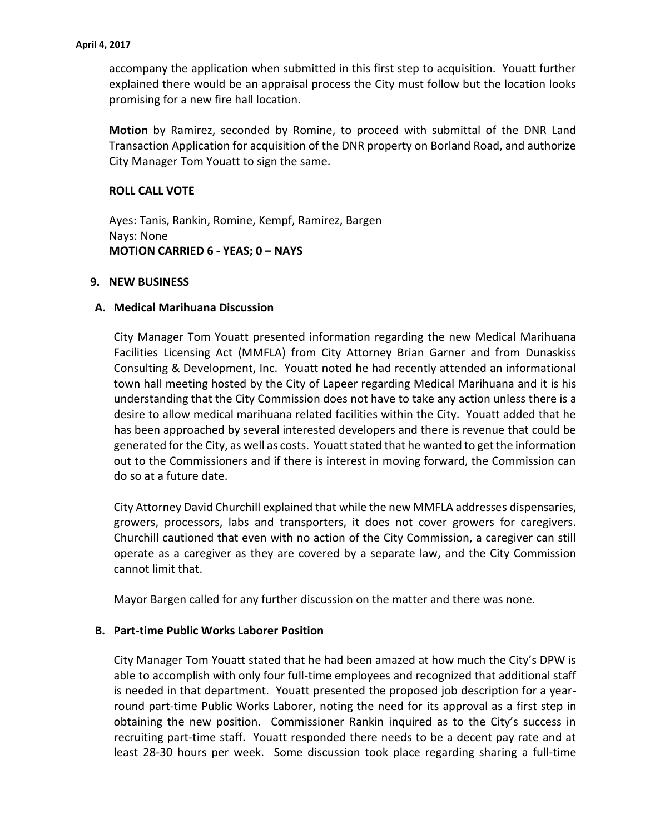accompany the application when submitted in this first step to acquisition. Youatt further explained there would be an appraisal process the City must follow but the location looks promising for a new fire hall location.

**Motion** by Ramirez, seconded by Romine, to proceed with submittal of the DNR Land Transaction Application for acquisition of the DNR property on Borland Road, and authorize City Manager Tom Youatt to sign the same.

# **ROLL CALL VOTE**

Ayes: Tanis, Rankin, Romine, Kempf, Ramirez, Bargen Nays: None **MOTION CARRIED 6 - YEAS; 0 – NAYS**

## **9. NEW BUSINESS**

## **A. Medical Marihuana Discussion**

City Manager Tom Youatt presented information regarding the new Medical Marihuana Facilities Licensing Act (MMFLA) from City Attorney Brian Garner and from Dunaskiss Consulting & Development, Inc. Youatt noted he had recently attended an informational town hall meeting hosted by the City of Lapeer regarding Medical Marihuana and it is his understanding that the City Commission does not have to take any action unless there is a desire to allow medical marihuana related facilities within the City. Youatt added that he has been approached by several interested developers and there is revenue that could be generated for the City, as well as costs. Youatt stated that he wanted to get the information out to the Commissioners and if there is interest in moving forward, the Commission can do so at a future date.

City Attorney David Churchill explained that while the new MMFLA addresses dispensaries, growers, processors, labs and transporters, it does not cover growers for caregivers. Churchill cautioned that even with no action of the City Commission, a caregiver can still operate as a caregiver as they are covered by a separate law, and the City Commission cannot limit that.

Mayor Bargen called for any further discussion on the matter and there was none.

## **B. Part-time Public Works Laborer Position**

City Manager Tom Youatt stated that he had been amazed at how much the City's DPW is able to accomplish with only four full-time employees and recognized that additional staff is needed in that department. Youatt presented the proposed job description for a yearround part-time Public Works Laborer, noting the need for its approval as a first step in obtaining the new position. Commissioner Rankin inquired as to the City's success in recruiting part-time staff. Youatt responded there needs to be a decent pay rate and at least 28-30 hours per week. Some discussion took place regarding sharing a full-time